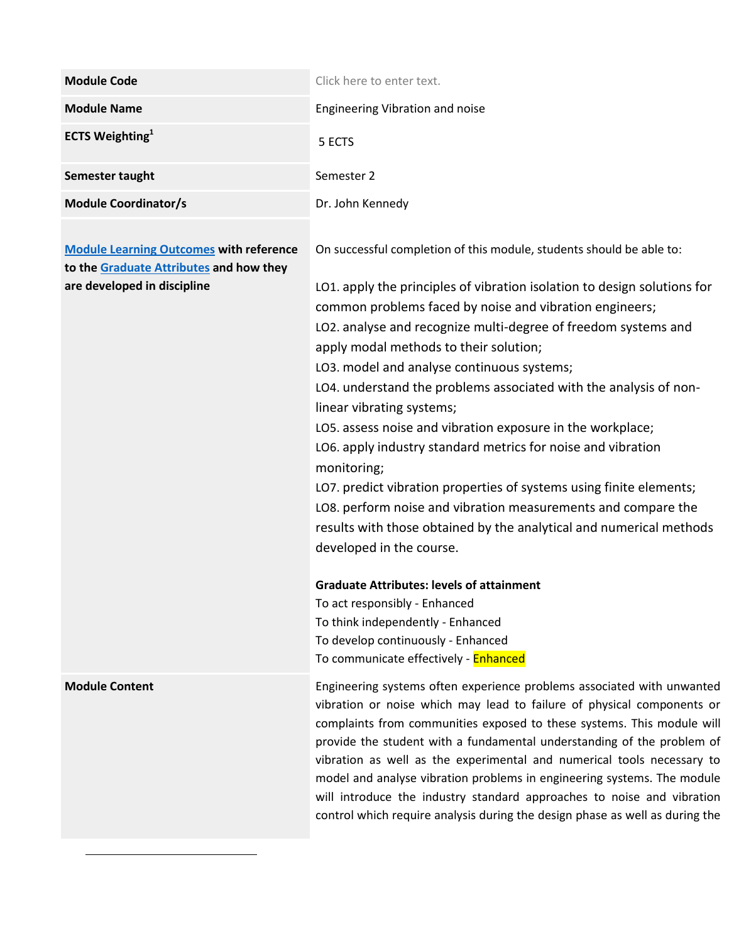| <b>Module Code</b>                 | Click here to enter text.       |
|------------------------------------|---------------------------------|
| <b>Module Name</b>                 | Engineering Vibration and noise |
| <b>ECTS Weighting</b> <sup>1</sup> | 5 ECTS                          |
| Semester taught                    | Semester 2                      |
| <b>Module Coordinator/s</b>        | Dr. John Kennedy                |

**[Module Learning Outcomes](https://www.tcd.ie/TEP/Council/assets/TEP%20Embedding%20Trinity%20Graduate%20Attributes%20in%20the%20Curriculum%202.pdf) with reference to the [Graduate Attributes](https://www.tcd.ie/TEP/graduateattributes.php) and how they are developed in discipline**

On successful completion of this module, students should be able to:

LO1. apply the principles of vibration isolation to design solutions for common problems faced by noise and vibration engineers; LO2. analyse and recognize multi-degree of freedom systems and apply modal methods to their solution; LO3. model and analyse continuous systems; LO4. understand the problems associated with the analysis of nonlinear vibrating systems; LO5. assess noise and vibration exposure in the workplace; LO6. apply industry standard metrics for noise and vibration monitoring; LO7. predict vibration properties of systems using finite elements; LO8. perform noise and vibration measurements and compare the results with those obtained by the analytical and numerical methods

developed in the course.

## **Graduate Attributes: levels of attainment**

To act responsibly - Enhanced To think independently - Enhanced To develop continuously - Enhanced To communicate effectively - Enhanced

**Module Content** Engineering systems often experience problems associated with unwanted vibration or noise which may lead to failure of physical components or complaints from communities exposed to these systems. This module will provide the student with a fundamental understanding of the problem of vibration as well as the experimental and numerical tools necessary to model and analyse vibration problems in engineering systems. The module will introduce the industry standard approaches to noise and vibration control which require analysis during the design phase as well as during the

 $\overline{a}$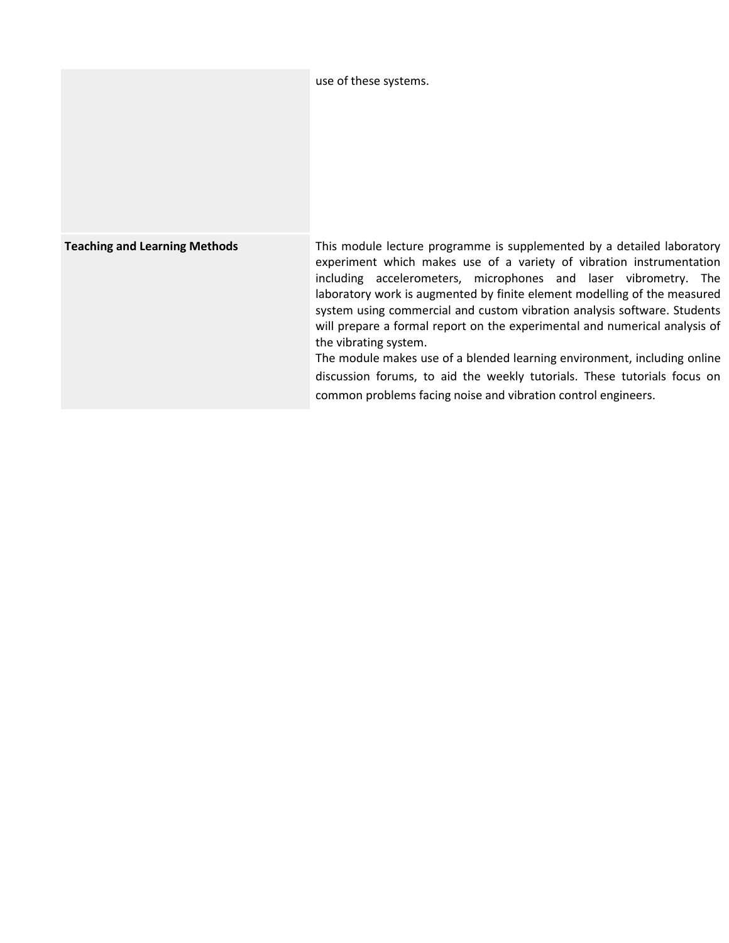|                                      | use of these systems.                                                                                                                                                                                                                                                                                                                                                                                                                                                                                                                                                                                                                                                                                     |
|--------------------------------------|-----------------------------------------------------------------------------------------------------------------------------------------------------------------------------------------------------------------------------------------------------------------------------------------------------------------------------------------------------------------------------------------------------------------------------------------------------------------------------------------------------------------------------------------------------------------------------------------------------------------------------------------------------------------------------------------------------------|
| <b>Teaching and Learning Methods</b> | This module lecture programme is supplemented by a detailed laboratory<br>experiment which makes use of a variety of vibration instrumentation<br>including accelerometers, microphones and laser vibrometry. The<br>laboratory work is augmented by finite element modelling of the measured<br>system using commercial and custom vibration analysis software. Students<br>will prepare a formal report on the experimental and numerical analysis of<br>the vibrating system.<br>The module makes use of a blended learning environment, including online<br>discussion forums, to aid the weekly tutorials. These tutorials focus on<br>common problems facing noise and vibration control engineers. |